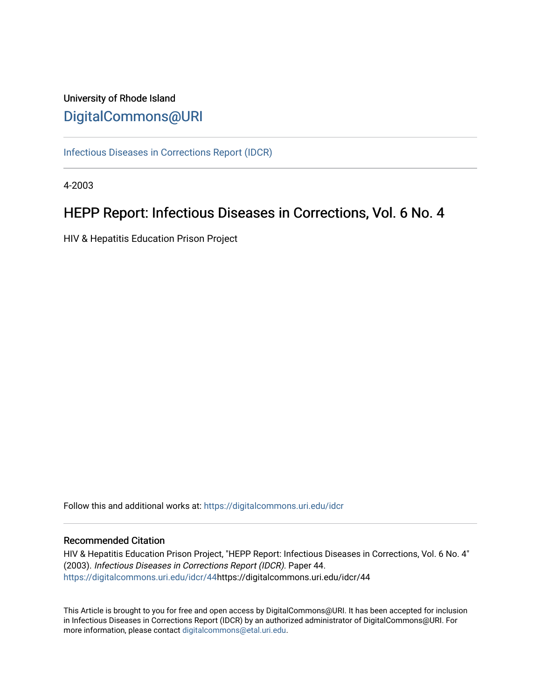## University of Rhode Island [DigitalCommons@URI](https://digitalcommons.uri.edu/)

[Infectious Diseases in Corrections Report \(IDCR\)](https://digitalcommons.uri.edu/idcr)

4-2003

# HEPP Report: Infectious Diseases in Corrections, Vol. 6 No. 4

HIV & Hepatitis Education Prison Project

Follow this and additional works at: [https://digitalcommons.uri.edu/idcr](https://digitalcommons.uri.edu/idcr?utm_source=digitalcommons.uri.edu%2Fidcr%2F44&utm_medium=PDF&utm_campaign=PDFCoverPages)

## Recommended Citation

HIV & Hepatitis Education Prison Project, "HEPP Report: Infectious Diseases in Corrections, Vol. 6 No. 4" (2003). Infectious Diseases in Corrections Report (IDCR). Paper 44. [https://digitalcommons.uri.edu/idcr/44h](https://digitalcommons.uri.edu/idcr/44?utm_source=digitalcommons.uri.edu%2Fidcr%2F44&utm_medium=PDF&utm_campaign=PDFCoverPages)ttps://digitalcommons.uri.edu/idcr/44

This Article is brought to you for free and open access by DigitalCommons@URI. It has been accepted for inclusion in Infectious Diseases in Corrections Report (IDCR) by an authorized administrator of DigitalCommons@URI. For more information, please contact [digitalcommons@etal.uri.edu.](mailto:digitalcommons@etal.uri.edu)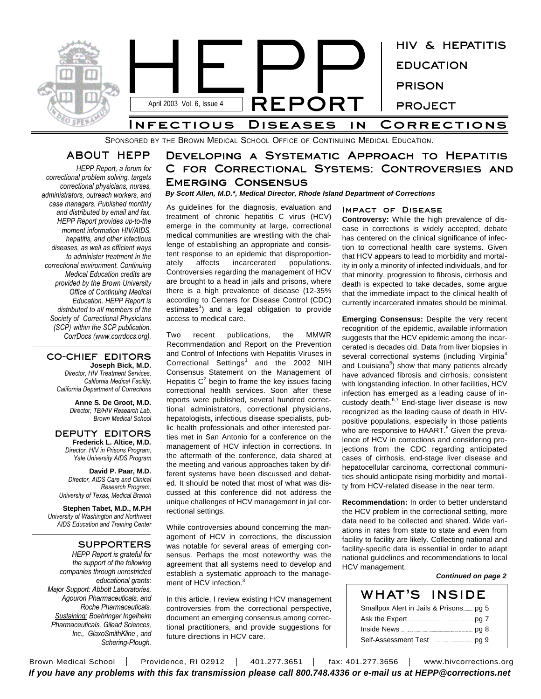

SPONSORED BY THE BROWN MEDICAL SCHOOL OFFICE OF CONTINUING MEDICAL EDUCATION.

## **ABOUT HEPP**

*HEPP Report, a forum for correctional problem solving, targets correctional physicians, nurses, administrators, outreach workers, and case managers. Published monthly and distributed by email and fax, HEPP Report provides up-to-the moment information HIV/AIDS, hepatitis, and other infectious diseases, as well as efficient ways to administer treatment in the correctional environment. Continuing Medical Education credits are provided by the Brown University Office of Continuing Medical Education. HEPP Report is distributed to all members of the Society of Correctional Physicians (SCP) within the SCP publication, CorrDocs (www.corrdocs.org).*

#### **CO-CHIEF EDITORS Joseph Bick, M.D.**

*Director, HIV Treatment Services, California Medical Facility, California Department of Corrections*

> **Anne S. De Groot, M.D.** *Director, TB/HIV Research Lab, Brown Medical School*

#### **DEPUTY EDITORS Frederick L. Altice, M.D.** *Director, HIV in Prisons Program,*

*Yale University AIDS Program* **David P. Paar, M.D.** *Director, AIDS Care and Clinical*

*Research Program, University of Texas, Medical Branch*

**Stephen Tabet, M.D., M.P.H** *University of Washington and Northwest AIDS Education and Training Center*

### **SUPPORTERS**

*HEPP Report is grateful for the support of the following companies through unrestricted educational grants: Major Support: Abbott Laboratories, Agouron Pharmaceuticals, and Roche Pharmaceuticals. Sustaining: Boehringer Ingelheim Pharmaceuticals, Gilead Sciences, Inc., GlaxoSmithKline , and Schering-Plough.*

## **Developing a Systematic Approach to Hepatitis C for Correctional Systems: Controversies and Emerging Consensus**

### *By Scott Allen, M.D.\*, Medical Director, Rhode Island Department of Corrections*

As guidelines for the diagnosis, evaluation and treatment of chronic hepatitis C virus (HCV) emerge in the community at large, correctional medical communities are wrestling with the challenge of establishing an appropriate and consistent response to an epidemic that disproportionately affects incarcerated populations. Controversies regarding the management of HCV are brought to a head in jails and prisons, where there is a high prevalence of disease (12-35% according to Centers for Disease Control (CDC) estimates<sup>1</sup>) and a legal obligation to provide access to medical care.

Two recent publications, the MMWR Recommendation and Report on the Prevention and Control of Infections with Hepatitis Viruses in Correctional Settings<sup>1</sup> and the 2002 NIH Consensus Statement on the Management of Hepatitis  $C^2$  begin to frame the key issues facing correctional health services. Soon after these reports were published, several hundred correctional administrators, correctional physicians, hepatologists, infectious disease specialists, public health professionals and other interested parties met in San Antonio for a conference on the management of HCV infection in corrections. In the aftermath of the conference, data shared at the meeting and various approaches taken by different systems have been discussed and debated. It should be noted that most of what was discussed at this conference did not address the unique challenges of HCV management in jail correctional settings.

While controversies abound concerning the management of HCV in corrections, the discussion was notable for several areas of emerging consensus. Perhaps the most noteworthy was the agreement that all systems need to develop and establish a systematic approach to the management of HCV infection.<sup>3</sup>

In this article, I review existing HCV management controversies from the correctional perspective, document an emerging consensus among correctional practitioners, and provide suggestions for future directions in HCV care.

#### **Impact of Disease**

**Controversy:** While the high prevalence of disease in corrections is widely accepted, debate has centered on the clinical significance of infection to correctional health care systems. Given that HCV appears to lead to morbidity and mortality in only a minority of infected individuals, and for that minority, progression to fibrosis, cirrhosis and death is expected to take decades, some argue that the immediate impact to the clinical health of currently incarcerated inmates should be minimal.

**Emerging Consensus:** Despite the very recent recognition of the epidemic, available information suggests that the HCV epidemic among the incarcerated is decades old. Data from liver biopsies in several correctional systems (including Virginia<sup>4</sup> and Louisiana<sup>5</sup>) show that many patients already have advanced fibrosis and cirrhosis, consistent with longstanding infection. In other facilities, HCV infection has emerged as a leading cause of incustody death.<sup>6,7</sup> End-stage liver disease is now recognized as the leading cause of death in HIVpositive populations, especially in those patients who are responsive to HAART.<sup>8</sup> Given the prevalence of HCV in corrections and considering projections from the CDC regarding anticipated cases of cirrhosis, end-stage liver disease and hepatocellular carcinoma, correctional communities should anticipate rising morbidity and mortality from HCV-related disease in the near term.

**Recommendation:** In order to better understand the HCV problem in the correctional setting, more data need to be collected and shared. Wide variations in rates from state to state and even from facility to facility are likely. Collecting national and facility-specific data is essential in order to adapt national guidelines and recommendations to local HCV management.

#### *Continued on page 2*

| <b>WHAT'S INSIDE</b> |  |
|----------------------|--|
|                      |  |
|                      |  |
|                      |  |
|                      |  |

Brown Medical School | Providence, RI 02912 | 401.277.3651 | fax: 401.277.3656 | www.hivcorrections.org *If you have any problems with this fax transmission please call 800.748.4336 or e-mail us at HEPP@corrections.net*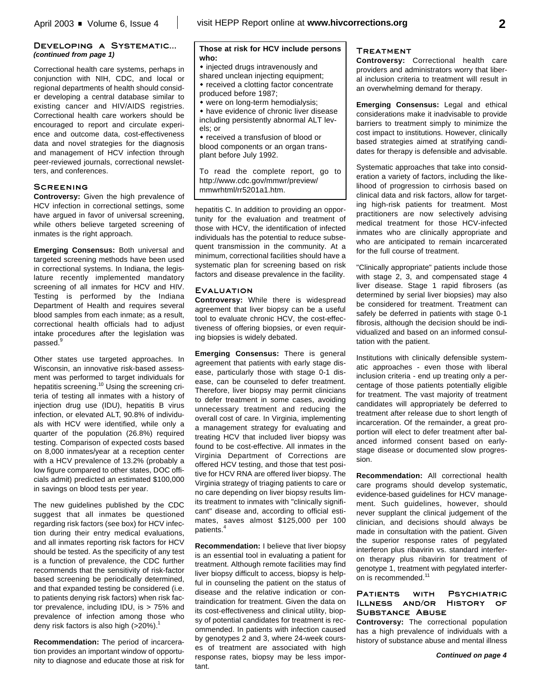### **Developing a Systematic...** *(continued from page 1)*

Correctional health care systems, perhaps in conjunction with NIH, CDC, and local or regional departments of health should consider developing a central database similar to existing cancer and HIV/AIDS registries. Correctional health care workers should be encouraged to report and circulate experience and outcome data, cost-effectiveness data and novel strategies for the diagnosis and management of HCV infection through peer-reviewed journals, correctional newsletters, and conferences.

#### **Screening**

**Controversy:** Given the high prevalence of HCV infection in correctional settings, some have argued in favor of universal screening, while others believe targeted screening of inmates is the right approach.

**Emerging Consensus:** Both universal and targeted screening methods have been used in correctional systems. In Indiana, the legislature recently implemented mandatory screening of all inmates for HCV and HIV. Testing is performed by the Indiana Department of Health and requires several blood samples from each inmate; as a result, correctional health officials had to adjust intake procedures after the legislation was passed.<sup>9</sup>

Other states use targeted approaches. In Wisconsin, an innovative risk-based assessment was performed to target individuals for hepatitis screening.<sup>10</sup> Using the screening criteria of testing all inmates with a history of injection drug use (IDU), hepatitis B virus infection, or elevated ALT, 90.8% of individuals with HCV were identified, while only a quarter of the population (26.8%) required testing. Comparison of expected costs based on 8,000 inmates/year at a reception center with a HCV prevalence of 13.2% (probably a low figure compared to other states, DOC officials admit) predicted an estimated \$100,000 in savings on blood tests per year.

The new guidelines published by the CDC suggest that all inmates be questioned regarding risk factors (see box) for HCV infection during their entry medical evaluations, and all inmates reporting risk factors for HCV should be tested. As the specificity of any test is a function of prevalence, the CDC further recommends that the sensitivity of risk-factor based screening be periodically determined, and that expanded testing be considered (i.e. to patients denying risk factors) when risk factor prevalence, including IDU, is > 75% and prevalence of infection among those who deny risk factors is also high (>20%).<sup>1</sup>

**Recommendation:** The period of incarceration provides an important window of opportunity to diagnose and educate those at risk for

### **Those at risk for HCV include persons who:**

 $\bullet$  injected drugs intravenously and shared unclean injecting equipment; • received a clotting factor concentrate produced before 1987;

\* were on long-term hemodialysis;

• have evidence of chronic liver disease including persistently abnormal ALT levels; or

• received a transfusion of blood or blood components or an organ transplant before July 1992.

To read the complete report, go to http://www.cdc.gov/mmwr/preview/ mmwrhtml/rr5201a1.htm.

hepatitis C. In addition to providing an opportunity for the evaluation and treatment of those with HCV, the identification of infected individuals has the potential to reduce subsequent transmission in the community. At a minimum, correctional facilities should have a systematic plan for screening based on risk factors and disease prevalence in the facility.

#### **Evaluation**

**Controversy:** While there is widespread agreement that liver biopsy can be a useful tool to evaluate chronic HCV, the cost-effectiveness of offering biopsies, or even requiring biopsies is widely debated.

**Emerging Consensus:** There is general agreement that patients with early stage disease, particularly those with stage 0-1 disease, can be counseled to defer treatment. Therefore, liver biopsy may permit clinicians to defer treatment in some cases, avoiding unnecessary treatment and reducing the overall cost of care. In Virginia, implementing a management strategy for evaluating and treating HCV that included liver biopsy was found to be cost-effective. All inmates in the Virginia Department of Corrections are offered HCV testing, and those that test positive for HCV RNA are offered liver biopsy. The Virginia strategy of triaging patients to care or no care depending on liver biopsy results limits treatment to inmates with "clinically significant" disease and, according to official estimates, saves almost \$125,000 per 100 patients. 4

**Recommendation:** I believe that liver biopsy is an essential tool in evaluating a patient for treatment. Although remote facilities may find liver biopsy difficult to access, biopsy is helpful in counseling the patient on the status of disease and the relative indication or contraindication for treatment. Given the data on its cost-effectiveness and clinical utility, biopsy of potential candidates for treatment is recommended. In patients with infection caused by genotypes 2 and 3, where 24-week courses of treatment are associated with high response rates, biopsy may be less important.

## **Treatment**

**Controversy:** Correctional health care providers and administrators worry that liberal inclusion criteria to treatment will result in an overwhelming demand for therapy.

**Emerging Consensus:** Legal and ethical considerations make it inadvisable to provide barriers to treatment simply to minimize the cost impact to institutions. However, clinically based strategies aimed at stratifying candidates for therapy is defensible and advisable.

Systematic approaches that take into consideration a variety of factors, including the likelihood of progression to cirrhosis based on clinical data and risk factors, allow for targeting high-risk patients for treatment. Most practitioners are now selectively advising medical treatment for those HCV-infected inmates who are clinically appropriate and who are anticipated to remain incarcerated for the full course of treatment.

"Clinically appropriate" patients include those with stage 2, 3, and compensated stage 4 liver disease. Stage 1 rapid fibrosers (as determined by serial liver biopsies) may also be considered for treatment. Treatment can safely be deferred in patients with stage 0-1 fibrosis, although the decision should be individualized and based on an informed consultation with the patient.

Institutions with clinically defensible systematic approaches - even those with liberal inclusion criteria - end up treating only a percentage of those patients potentially eligible for treatment. The vast majority of treatment candidates will appropriately be deferred to treatment after release due to short length of incarceration. Of the remainder, a great proportion will elect to defer treatment after balanced informed consent based on earlystage disease or documented slow progression.

**Recommendation:** All correctional health care programs should develop systematic, evidence-based guidelines for HCV management. Such guidelines, however, should never supplant the clinical judgement of the clinician, and decisions should always be made in consultation with the patient. Given the superior response rates of pegylated interferon plus ribavirin vs. standard interferon therapy plus ribavirin for treatment of genotype 1, treatment with pegylated interferon is recommended.<sup>11</sup>

#### **Patients with Psychiatric Illness and/or History of Substance Abuse**

**Controversy:** The correctional population has a high prevalence of individuals with a history of substance abuse and mental illness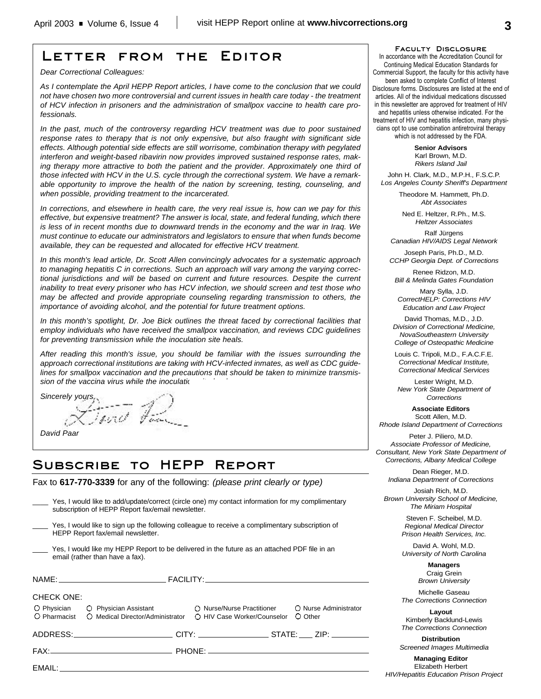## **Letter from the Editor**

*Dear Correctional Colleagues:*

*As I contemplate the April HEPP Report articles, I have come to the conclusion that we could not have chosen two more controversial and current issues in health care today - the treatment of HCV infection in prisoners and the administration of smallpox vaccine to health care professionals.* 

*In the past, much of the controversy regarding HCV treatment was due to poor sustained response rates to therapy that is not only expensive, but also fraught with significant side effects. Although potential side effects are still worrisome, combination therapy with pegylated interferon and weight-based ribavirin now provides improved sustained response rates, making therapy more attractive to both the patient and the provider. Approximately one third of those infected with HCV in the U.S. cycle through the correctional system. We have a remarkable opportunity to improve the health of the nation by screening, testing, counseling, and when possible, providing treatment to the incarcerated.*

*In corrections, and elsewhere in health care, the very real issue is, how can we pay for this effective, but expensive treatment? The answer is local, state, and federal funding, which there is less of in recent months due to downward trends in the economy and the war in Iraq. We must continue to educate our administrators and legislators to ensure that when funds become available, they can be requested and allocated for effective HCV treatment.*

*In this month's lead article, Dr. Scott Allen convincingly advocates for a systematic approach to managing hepatitis C in corrections. Such an approach will vary among the varying correctional jurisdictions and will be based on current and future resources. Despite the current inability to treat every prisoner who has HCV infection, we should screen and test those who may be affected and provide appropriate counseling regarding transmission to others, the importance of avoiding alcohol, and the potential for future treatment options.*

*In this month's spotlight, Dr. Joe Bick outlines the threat faced by correctional facilities that employ individuals who have received the smallpox vaccination, and reviews CDC guidelines for preventing transmission while the inoculation site heals.*

*After reading this month's issue, you should be familiar with the issues surrounding the approach correctional institutions are taking with HCV-infected inmates, as well as CDC guidelines for smallpox vaccination and the precautions that should be taken to minimize transmis*sion of the vaccina virus while the inoculation

*Sincerely yours,* 

*David Paar*

## **Subscribe to HEPP Report**

Fax to **617-770-3339** for any of the following: *(please print clearly or type)*

|                                                                                                                                      | Yes, I would like to add/update/correct (circle one) my contact information for my complimentary<br>subscription of HEPP Report fax/email newsletter.                                                                          |  |                       |  |
|--------------------------------------------------------------------------------------------------------------------------------------|--------------------------------------------------------------------------------------------------------------------------------------------------------------------------------------------------------------------------------|--|-----------------------|--|
| Yes, I would like to sign up the following colleague to receive a complimentary subscription of<br>HEPP Report fax/email newsletter. |                                                                                                                                                                                                                                |  |                       |  |
| Yes, I would like my HEPP Report to be delivered in the future as an attached PDF file in an<br>email (rather than have a fax).      |                                                                                                                                                                                                                                |  |                       |  |
|                                                                                                                                      |                                                                                                                                                                                                                                |  |                       |  |
| <b>CHECK ONE:</b>                                                                                                                    |                                                                                                                                                                                                                                |  |                       |  |
| O Pharmacist                                                                                                                         | O Physician C Physician Assistant C Nurse/Nurse Practitioner<br>O Medical Director/Administrator O HIV Case Worker/Counselor O Other                                                                                           |  | O Nurse Administrator |  |
|                                                                                                                                      |                                                                                                                                                                                                                                |  |                       |  |
|                                                                                                                                      |                                                                                                                                                                                                                                |  |                       |  |
|                                                                                                                                      | EMAIL: The contract of the contract of the contract of the contract of the contract of the contract of the contract of the contract of the contract of the contract of the contract of the contract of the contract of the con |  |                       |  |
|                                                                                                                                      |                                                                                                                                                                                                                                |  |                       |  |

**Faculty Disclosure**

In accordance with the Accreditation Council for Continuing Medical Education Standards for Commercial Support, the faculty for this activity have been asked to complete Conflict of Interest Disclosure forms. Disclosures are listed at the end of articles. All of the individual medications discussed in this newsletter are approved for treatment of HIV and hepatitis unless otherwise indicated. For the treatment of HIV and hepatitis infection, many physicians opt to use combination antiretroviral therapy which is not addressed by the FDA.

> **Senior Advisors** Karl Brown, M.D. *Rikers Island Jail*

John H. Clark, M.D., M.P.H., F.S.C.P. *Los Angeles County Sheriff's Department*

> Theodore M. Hammett, Ph.D. *Abt Associates*

Ned E. Heltzer, R.Ph., M.S. *Heltzer Associates*

Ralf Jürgens *Canadian HIV/AIDS Legal Network*

Joseph Paris, Ph.D., M.D. *CCHP Georgia Dept. of Corrections*

Renee Ridzon, M.D. *Bill & Melinda Gates Foundation*

Mary Sylla, J.D. *CorrectHELP: Corrections HIV Education and Law Project*

David Thomas, M.D., J.D. *Division of Correctional Medicine, NovaSoutheastern University College of Osteopathic Medicine*

Louis C. Tripoli, M.D., F.A.C.F.E. *Correctional Medical Institute, Correctional Medical Services*

Lester Wright, M.D. *New York State Department of Corrections*

**Associate Editors** Scott Allen, M.D. *Rhode Island Department of Corrections*

Peter J. Piliero, M.D. *Associate Professor of Medicine, Consultant, New York State Department of*

*Corrections, Albany Medical College* Dean Rieger, M.D. *Indiana Department of Corrections*

Josiah Rich, M.D. *Brown University School of Medicine, The Miriam Hospital*

> Steven F. Scheibel, M.D. *Regional Medical Director Prison Health Services, Inc.*

> David A. Wohl, M.D. *University of North Carolina*

> > **Managers** Craig Grein *Brown University*

Michelle Gaseau *The Corrections Connection*

**Layout** Kimberly Backlund-Lewis *The Corrections Connection*

**Distribution** *Screened Images Multimedia*

**Managing Editor** Elizabeth Herbert *HIV/Hepatitis Education Prison Project*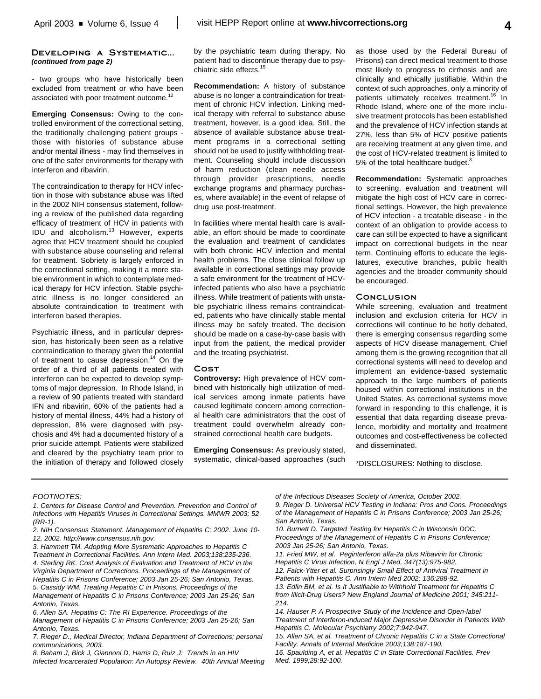#### **Developing a Systematic...** *(continued from page 2)*

- two groups who have historically been excluded from treatment or who have been associated with poor treatment outcome.<sup>12</sup>

**Emerging Consensus:** Owing to the controlled environment of the correctional setting, the traditionally challenging patient groups those with histories of substance abuse and/or mental illness - may find themselves in one of the safer environments for therapy with interferon and ribavirin.

The contraindication to therapy for HCV infection in those with substance abuse was lifted in the 2002 NIH consensus statement, following a review of the published data regarding efficacy of treatment of HCV in patients with IDU and alcoholism.<sup>13</sup> However, experts agree that HCV treatment should be coupled with substance abuse counseling and referral for treatment. Sobriety is largely enforced in the correctional setting, making it a more stable environment in which to contemplate medical therapy for HCV infection. Stable psychiatric illness is no longer considered an absolute contraindication to treatment with interferon based therapies.

Psychiatric illness, and in particular depression, has historically been seen as a relative contraindication to therapy given the potential of treatment to cause depression.<sup>14</sup> On the order of a third of all patients treated with interferon can be expected to develop symptoms of major depression. In Rhode Island, in a review of 90 patients treated with standard IFN and ribavirin, 60% of the patients had a history of mental illness, 44% had a history of depression, 8% were diagnosed with psychosis and 4% had a documented history of a prior suicide attempt. Patients were stabilized and cleared by the psychiatry team prior to the initiation of therapy and followed closely

by the psychiatric team during therapy. No patient had to discontinue therapy due to psychiatric side effects. 15

**Recommendation:** A history of substance abuse is no longer a contraindication for treatment of chronic HCV infection. Linking medical therapy with referral to substance abuse treatment, however, is a good idea. Still, the absence of available substance abuse treatment programs in a correctional setting should not be used to justify withholding treatment. Counseling should include discussion of harm reduction (clean needle access through provider prescriptions, needle exchange programs and pharmacy purchases, where available) in the event of relapse of drug use post-treatment.

In facilities where mental health care is available, an effort should be made to coordinate the evaluation and treatment of candidates with both chronic HCV infection and mental health problems. The close clinical follow up available in correctional settings may provide a safe environment for the treatment of HCVinfected patients who also have a psychiatric illness. While treatment of patients with unstable psychiatric illness remains contraindicated, patients who have clinically stable mental illness may be safely treated. The decision should be made on a case-by-case basis with input from the patient, the medical provider and the treating psychiatrist.

#### **Cost**

**Controversy:** High prevalence of HCV combined with historically high utilization of medical services among inmate patients have caused legitimate concern among correctional health care administrators that the cost of treatment could overwhelm already constrained correctional health care budgets.

**Emerging Consensus:** As previously stated, systematic, clinical-based approaches (such as those used by the Federal Bureau of Prisons) can direct medical treatment to those most likely to progress to cirrhosis and are clinically and ethically justifiable. Within the context of such approaches, only a minority of patients ultimately receives treatment.<sup>16</sup> In Rhode Island, where one of the more inclusive treatment protocols has been established and the prevalence of HCV infection stands at 27%, less than 5% of HCV positive patients are receiving treatment at any given time, and the cost of HCV-related treatment is limited to 5% of the total healthcare budget. $3$ 

**Recommendation:** Systematic approaches to screening, evaluation and treatment will mitigate the high cost of HCV care in correctional settings. However, the high prevalence of HCV infection - a treatable disease - in the context of an obligation to provide access to care can still be expected to have a significant impact on correctional budgets in the near term. Continuing efforts to educate the legislatures, executive branches, public health agencies and the broader community should be encouraged.

#### **Conclusion**

While screening, evaluation and treatment inclusion and exclusion criteria for HCV in corrections will continue to be hotly debated, there is emerging consensus regarding some aspects of HCV disease management. Chief among them is the growing recognition that all correctional systems will need to develop and implement an evidence-based systematic approach to the large numbers of patients housed within correctional institutions in the United States. As correctional systems move forward in responding to this challenge, it is essential that data regarding disease prevalence, morbidity and mortality and treatment outcomes and cost-effectiveness be collected and disseminated.

\*DISCLOSURES: Nothing to disclose.

#### *FOOTNOTES:*

- *1. Centers for Disease Control and Prevention. Prevention and Control of Infections with Hepatitis Viruses in Correctional Settings. MMWR 2003; 52 (RR-1).*
- *2. NIH Consensus Statement. Management of Hepatitis C: 2002. June 10- 12, 2002. http://www.consensus.nih.gov.*

*3. Hammett TM. Adopting More Systematic Approaches to Hepatitis C Treatment in Correctional Facilities. Ann Intern Med. 2003;138:235-236. 4. Sterling RK. Cost Analysis of Evaluation and Treatment of HCV in the Virginia Department of Corrections. Proceedings of the Management of Hepatitis C in Prisons Conference; 2003 Jan 25-26; San Antonio, Texas. 5. Cassidy WM. Treating Hepatitis C in Prisons. Proceedings of the*

*Management of Hepatitis C in Prisons Conference; 2003 Jan 25-26; San Antonio, Texas.*

*6. Allen SA. Hepatitis C: The RI Experience. Proceedings of the Management of Hepatitis C in Prisons Conference; 2003 Jan 25-26; San Antonio, Texas.*

*7. Rieger D., Medical Director, Indiana Department of Corrections; personal communications, 2003.*

*8. Baham J, Bick J, Giannoni D, Harris D, Ruiz J: Trends in an HIV Infected Incarcerated Population: An Autopsy Review. 40th Annual Meeting* *of the Infectious Diseases Society of America, October 2002. 9. Rieger D. Universal HCV Testing in Indiana: Pros and Cons. Proceedings of the Management of Hepatitis C in Prisons Conference; 2003 Jan 25-26; San Antonio, Texas.*

*10. Burnett D. Targeted Testing for Hepatitis C in Wisconsin DOC. Proceedings of the Management of Hepatitis C in Prisons Conference; 2003 Jan 25-26; San Antonio, Texas.*

*11. Fried MW, et al. Peginterferon alfa-2a plus Ribavirin for Chronic Hepatitis C Virus Infection, N Engl J Med, 347(13):975-982.*

*12. Falck-Ytter et al. Surprisingly Small Effect of Antiviral Treatment in Patients with Hepatitis C. Ann Intern Med 2002; 136:288-92.*

*13. Edlin BM, et al. Is It Justifiable to Withhold Treatment for Hepatitis C from Illicit-Drug Users? New England Journal of Medicine 2001; 345:211- 214.* 

*15. Allen SA, et al. Treatment of Chronic Hepatitis C in a State Correctional Facility. Annals of Internal Medicine 2003;138:187-190.*

*16. Spaulding A, et al. Hepatitis C in State Correctional Facilities. Prev Med. 1999;28:92-100.*

*<sup>14.</sup> Hauser P. A Prospective Study of the Incidence and Open-label Treatment of Interferon-induced Major Depressive Disorder in Patients With Hepatitis C. Molecular Psychiatry 2002;7:942-947.*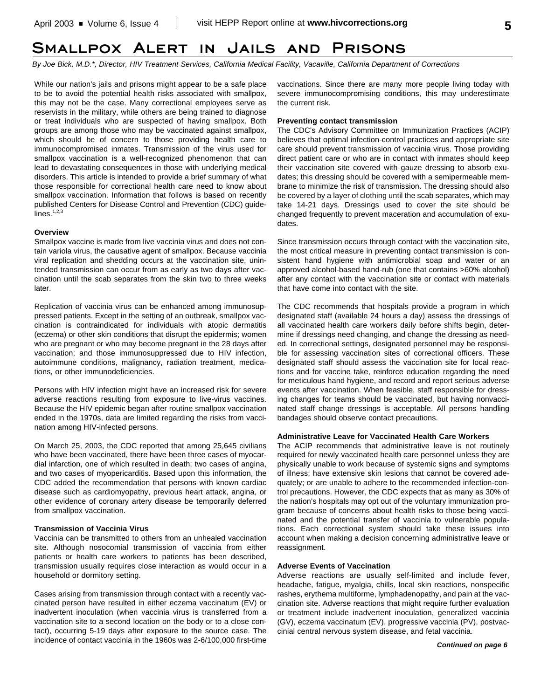## **Smallpox Alert in Jails and Prisons**

*By Joe Bick, M.D.\*, Director, HIV Treatment Services, California Medical Facility, Vacaville, California Department of Corrections*

While our nation's jails and prisons might appear to be a safe place to be to avoid the potential health risks associated with smallpox, this may not be the case. Many correctional employees serve as reservists in the military, while others are being trained to diagnose or treat individuals who are suspected of having smallpox. Both groups are among those who may be vaccinated against smallpox, which should be of concern to those providing health care to immunocompromised inmates. Transmission of the virus used for smallpox vaccination is a well-recognized phenomenon that can lead to devastating consequences in those with underlying medical disorders. This article is intended to provide a brief summary of what those responsible for correctional health care need to know about smallpox vaccination. Information that follows is based on recently published Centers for Disease Control and Prevention (CDC) guide $lines.<sup>1,2,3</sup>$ 

#### **Overview**

Smallpox vaccine is made from live vaccinia virus and does not contain variola virus, the causative agent of smallpox. Because vaccinia viral replication and shedding occurs at the vaccination site, unintended transmission can occur from as early as two days after vaccination until the scab separates from the skin two to three weeks later.

Replication of vaccinia virus can be enhanced among immunosuppressed patients. Except in the setting of an outbreak, smallpox vaccination is contraindicated for individuals with atopic dermatitis (eczema) or other skin conditions that disrupt the epidermis; women who are pregnant or who may become pregnant in the 28 days after vaccination; and those immunosuppressed due to HIV infection, autoimmune conditions, malignancy, radiation treatment, medications, or other immunodeficiencies.

Persons with HIV infection might have an increased risk for severe adverse reactions resulting from exposure to live-virus vaccines. Because the HIV epidemic began after routine smallpox vaccination ended in the 1970s, data are limited regarding the risks from vaccination among HIV-infected persons.

On March 25, 2003, the CDC reported that among 25,645 civilians who have been vaccinated, there have been three cases of myocardial infarction, one of which resulted in death; two cases of angina, and two cases of myopericarditis. Based upon this information, the CDC added the recommendation that persons with known cardiac disease such as cardiomyopathy, previous heart attack, angina, or other evidence of coronary artery disease be temporarily deferred from smallpox vaccination.

#### **Transmission of Vaccinia Virus**

Vaccinia can be transmitted to others from an unhealed vaccination site. Although nosocomial transmission of vaccinia from either patients or health care workers to patients has been described, transmission usually requires close interaction as would occur in a household or dormitory setting.

Cases arising from transmission through contact with a recently vaccinated person have resulted in either eczema vaccinatum (EV) or inadvertent inoculation (when vaccinia virus is transferred from a vaccination site to a second location on the body or to a close contact), occurring 5-19 days after exposure to the source case. The incidence of contact vaccinia in the 1960s was 2-6/100,000 first-time vaccinations. Since there are many more people living today with severe immunocompromising conditions, this may underestimate the current risk.

#### **Preventing contact transmission**

The CDC's Advisory Committee on Immunization Practices (ACIP) believes that optimal infection-control practices and appropriate site care should prevent transmission of vaccinia virus. Those providing direct patient care or who are in contact with inmates should keep their vaccination site covered with gauze dressing to absorb exudates; this dressing should be covered with a semipermeable membrane to minimize the risk of transmission. The dressing should also be covered by a layer of clothing until the scab separates, which may take 14-21 days. Dressings used to cover the site should be changed frequently to prevent maceration and accumulation of exudates.

Since transmission occurs through contact with the vaccination site, the most critical measure in preventing contact transmission is consistent hand hygiene with antimicrobial soap and water or an approved alcohol-based hand-rub (one that contains >60% alcohol) after any contact with the vaccination site or contact with materials that have come into contact with the site.

The CDC recommends that hospitals provide a program in which designated staff (available 24 hours a day) assess the dressings of all vaccinated health care workers daily before shifts begin, determine if dressings need changing, and change the dressing as needed. In correctional settings, designated personnel may be responsible for assessing vaccination sites of correctional officers. These designated staff should assess the vaccination site for local reactions and for vaccine take, reinforce education regarding the need for meticulous hand hygiene, and record and report serious adverse events after vaccination. When feasible, staff responsible for dressing changes for teams should be vaccinated, but having nonvaccinated staff change dressings is acceptable. All persons handling bandages should observe contact precautions.

#### **Administrative Leave for Vaccinated Health Care Workers**

The ACIP recommends that administrative leave is not routinely required for newly vaccinated health care personnel unless they are physically unable to work because of systemic signs and symptoms of illness; have extensive skin lesions that cannot be covered adequately; or are unable to adhere to the recommended infection-control precautions. However, the CDC expects that as many as 30% of the nation's hospitals may opt out of the voluntary immunization program because of concerns about health risks to those being vaccinated and the potential transfer of vaccinia to vulnerable populations. Each correctional system should take these issues into account when making a decision concerning administrative leave or reassignment.

#### **Adverse Events of Vaccination**

Adverse reactions are usually self-limited and include fever, headache, fatigue, myalgia, chills, local skin reactions, nonspecific rashes, erythema multiforme, lymphadenopathy, and pain at the vaccination site. Adverse reactions that might require further evaluation or treatment include inadvertent inoculation, generalized vaccinia (GV), eczema vaccinatum (EV), progressive vaccinia (PV), postvaccinial central nervous system disease, and fetal vaccinia.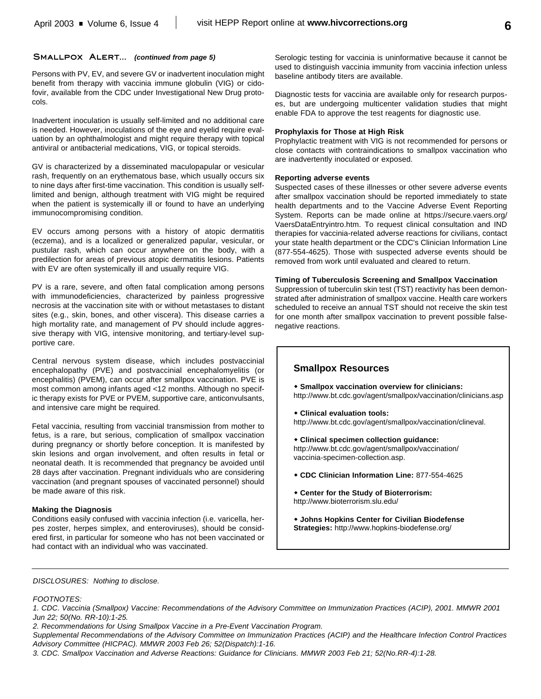#### SMALLPOX ALERT... *(continued from page 5)*

Persons with PV, EV, and severe GV or inadvertent inoculation might benefit from therapy with vaccinia immune globulin (VIG) or cidofovir, available from the CDC under Investigational New Drug protocols.

Inadvertent inoculation is usually self-limited and no additional care is needed. However, inoculations of the eye and eyelid require evaluation by an ophthalmologist and might require therapy with topical antiviral or antibacterial medications, VIG, or topical steroids.

GV is characterized by a disseminated maculopapular or vesicular rash, frequently on an erythematous base, which usually occurs six to nine days after first-time vaccination. This condition is usually selflimited and benign, although treatment with VIG might be required when the patient is systemically ill or found to have an underlying immunocompromising condition.

EV occurs among persons with a history of atopic dermatitis (eczema), and is a localized or generalized papular, vesicular, or pustular rash, which can occur anywhere on the body, with a predilection for areas of previous atopic dermatitis lesions. Patients with EV are often systemically ill and usually require VIG.

PV is a rare, severe, and often fatal complication among persons with immunodeficiencies, characterized by painless progressive necrosis at the vaccination site with or without metastases to distant sites (e.g., skin, bones, and other viscera). This disease carries a high mortality rate, and management of PV should include aggressive therapy with VIG, intensive monitoring, and tertiary-level supportive care.

Central nervous system disease, which includes postvaccinial encephalopathy (PVE) and postvaccinial encephalomyelitis (or encephalitis) (PVEM), can occur after smallpox vaccination. PVE is most common among infants aged <12 months. Although no specific therapy exists for PVE or PVEM, supportive care, anticonvulsants, and intensive care might be required.

Fetal vaccinia, resulting from vaccinial transmission from mother to fetus, is a rare, but serious, complication of smallpox vaccination during pregnancy or shortly before conception. It is manifested by skin lesions and organ involvement, and often results in fetal or neonatal death. It is recommended that pregnancy be avoided until 28 days after vaccination. Pregnant individuals who are considering vaccination (and pregnant spouses of vaccinated personnel) should be made aware of this risk.

#### **Making the Diagnosis**

Conditions easily confused with vaccinia infection (i.e. varicella, herpes zoster, herpes simplex, and enteroviruses), should be considered first, in particular for someone who has not been vaccinated or had contact with an individual who was vaccinated.

Serologic testing for vaccinia is uninformative because it cannot be used to distinguish vaccinia immunity from vaccinia infection unless baseline antibody titers are available.

Diagnostic tests for vaccinia are available only for research purposes, but are undergoing multicenter validation studies that might enable FDA to approve the test reagents for diagnostic use.

#### **Prophylaxis for Those at High Risk**

Prophylactic treatment with VIG is not recommended for persons or close contacts with contraindications to smallpox vaccination who are inadvertently inoculated or exposed.

#### **Reporting adverse events**

Suspected cases of these illnesses or other severe adverse events after smallpox vaccination should be reported immediately to state health departments and to the Vaccine Adverse Event Reporting System. Reports can be made online at https://secure.vaers.org/ VaersDataEntryintro.htm. To request clinical consultation and IND therapies for vaccinia-related adverse reactions for civilians, contact your state health department or the CDC's Clinician Information Line (877-554-4625). Those with suspected adverse events should be removed from work until evaluated and cleared to return.

#### **Timing of Tuberculosis Screening and Smallpox Vaccination**

Suppression of tuberculin skin test (TST) reactivity has been demonstrated after administration of smallpox vaccine. Health care workers scheduled to receive an annual TST should not receive the skin test for one month after smallpox vaccination to prevent possible falsenegative reactions.

## **Smallpox Resources**

- $\bullet$  Smallpox vaccination overview for clinicians: http://www.bt.cdc.gov/agent/smallpox/vaccination/clinicians.asp
- **Clinical evaluation tools:** http://www.bt.cdc.gov/agent/smallpox/vaccination/clineval.
- w **Clinical specimen collection guidance:** http://www.bt.cdc.gov/agent/smallpox/vaccination/ vaccinia-specimen-collection.asp.
- **CDC Clinician Information Line: 877-554-4625**
- **Center for the Study of Bioterrorism:** http://www.bioterrorism.slu.edu/
- **Johns Hopkins Center for Civilian Biodefense Strategies:** http://www.hopkins-biodefense.org/

*DISCLOSURES: Nothing to disclose.*

#### *FOOTNOTES:*

*1. CDC. Vaccinia (Smallpox) Vaccine: Recommendations of the Advisory Committee on Immunization Practices (ACIP), 2001. MMWR 2001 Jun 22; 50(No. RR-10):1-25.*

*2. Recommendations for Using Smallpox Vaccine in a Pre-Event Vaccination Program.*

*Supplemental Recommendations of the Advisory Committee on Immunization Practices (ACIP) and the Healthcare Infection Control Practices Advisory Committee (HICPAC). MMWR 2003 Feb 26; 52(Dispatch):1-16.*

*3. CDC. Smallpox Vaccination and Adverse Reactions: Guidance for Clinicians. MMWR 2003 Feb 21; 52(No.RR-4):1-28.*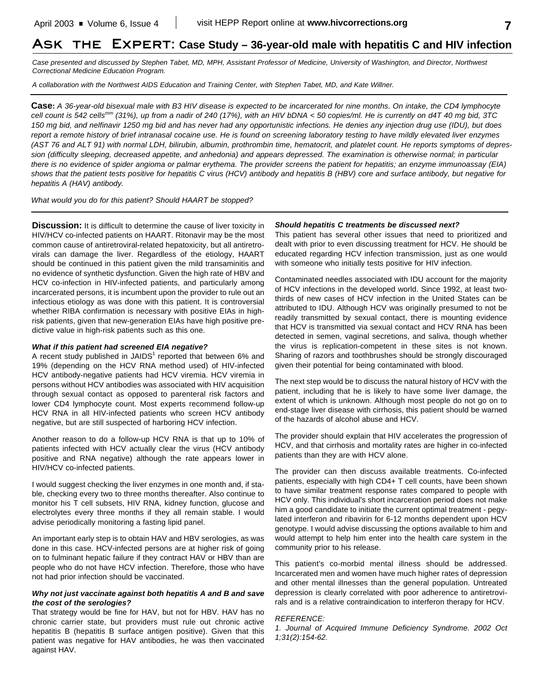## **Ask the Expert: Case Study – 36-year-old male with hepatitis C and HIV infection**

*Case presented and discussed by Stephen Tabet, MD, MPH, Assistant Professor of Medicine, University of Washington, and Director, Northwest Correctional Medicine Education Program.*

*A collaboration with the Northwest AIDS Education and Training Center, with Stephen Tabet, MD, and Kate Willner.*

**Case:** *A 36-year-old bisexual male with B3 HIV disease is expected to be incarcerated for nine months. On intake, the CD4 lymphocyte cell count is 542 cells mm (31%), up from a nadir of 240 (17%), with an HIV bDNA < 50 copies/ml. He is currently on d4T 40 mg bid, 3TC 150 mg bid, and nelfinavir 1250 mg bid and has never had any opportunistic infections. He denies any injection drug use (IDU), but does report a remote history of brief intranasal cocaine use. He is found on screening laboratory testing to have mildly elevated liver enzymes (AST 76 and ALT 91) with normal LDH, bilirubin, albumin, prothrombin time, hematocrit, and platelet count. He reports symptoms of depression (difficulty sleeping, decreased appetite, and anhedonia) and appears depressed. The examination is otherwise normal; in particular there is no evidence of spider angioma or palmar erythema. The provider screens the patient for hepatitis; an enzyme immunoassay (EIA) shows that the patient tests positive for hepatitis C virus (HCV) antibody and hepatitis B (HBV) core and surface antibody, but negative for hepatitis A (HAV) antibody.*

*What would you do for this patient? Should HAART be stopped?*

**Discussion:** It is difficult to determine the cause of liver toxicity in HIV/HCV co-infected patients on HAART. Ritonavir may be the most common cause of antiretroviral-related hepatoxicity, but all antiretrovirals can damage the liver. Regardless of the etiology, HAART should be continued in this patient given the mild transaminitis and no evidence of synthetic dysfunction. Given the high rate of HBV and HCV co-infection in HIV-infected patients, and particularly among incarcerated persons, it is incumbent upon the provider to rule out an infectious etiology as was done with this patient. It is controversial whether RIBA confirmation is necessary with positive EIAs in highrisk patients, given that new-generation EIAs have high positive predictive value in high-risk patients such as this one.

#### *What if this patient had screened EIA negative?*

A recent study published in JAIDS<sup>1</sup> reported that between 6% and 19% (depending on the HCV RNA method used) of HIV-infected HCV antibody-negative patients had HCV viremia. HCV viremia in persons without HCV antibodies was associated with HIV acquisition through sexual contact as opposed to parenteral risk factors and lower CD4 lymphocyte count. Most experts recommend follow-up HCV RNA in all HIV-infected patients who screen HCV antibody negative, but are still suspected of harboring HCV infection.

Another reason to do a follow-up HCV RNA is that up to 10% of patients infected with HCV actually clear the virus (HCV antibody positive and RNA negative) although the rate appears lower in HIV/HCV co-infected patients.

I would suggest checking the liver enzymes in one month and, if stable, checking every two to three months thereafter. Also continue to monitor his T cell subsets, HIV RNA, kidney function, glucose and electrolytes every three months if they all remain stable. I would advise periodically monitoring a fasting lipid panel.

An important early step is to obtain HAV and HBV serologies, as was done in this case. HCV-infected persons are at higher risk of going on to fulminant hepatic failure if they contract HAV or HBV than are people who do not have HCV infection. Therefore, those who have not had prior infection should be vaccinated.

#### *Why not just vaccinate against both hepatitis A and B and save the cost of the serologies?*

That strategy would be fine for HAV, but not for HBV. HAV has no chronic carrier state, but providers must rule out chronic active hepatitis B (hepatitis B surface antigen positive). Given that this patient was negative for HAV antibodies, he was then vaccinated against HAV.

#### *Should hepatitis C treatments be discussed next?*

This patient has several other issues that need to prioritized and dealt with prior to even discussing treatment for HCV. He should be educated regarding HCV infection transmission, just as one would with someone who initially tests positive for HIV infection.

Contaminated needles associated with IDU account for the majority of HCV infections in the developed world. Since 1992, at least twothirds of new cases of HCV infection in the United States can be attributed to IDU. Although HCV was originally presumed to not be readily transmitted by sexual contact, there is mounting evidence that HCV is transmitted via sexual contact and HCV RNA has been detected in semen, vaginal secretions, and saliva, though whether the virus is replication-competent in these sites is not known. Sharing of razors and toothbrushes should be strongly discouraged given their potential for being contaminated with blood.

The next step would be to discuss the natural history of HCV with the patient, including that he is likely to have some liver damage, the extent of which is unknown. Although most people do not go on to end-stage liver disease with cirrhosis, this patient should be warned of the hazards of alcohol abuse and HCV.

The provider should explain that HIV accelerates the progression of HCV, and that cirrhosis and mortality rates are higher in co-infected patients than they are with HCV alone.

The provider can then discuss available treatments. Co-infected patients, especially with high CD4+ T cell counts, have been shown to have similar treatment response rates compared to people with HCV only. This individual's short incarceration period does not make him a good candidate to initiate the current optimal treatment - pegylated interferon and ribavirin for 6-12 months dependent upon HCV genotype. I would advise discussing the options available to him and would attempt to help him enter into the health care system in the community prior to his release.

This patient's co-morbid mental illness should be addressed. Incarcerated men and women have much higher rates of depression and other mental illnesses than the general population. Untreated depression is clearly correlated with poor adherence to antiretrovirals and is a relative contraindication to interferon therapy for HCV.

#### *REFERENCE:*

*1. Journal of Acquired Immune Deficiency Syndrome. 2002 Oct 1;31(2):154-62.*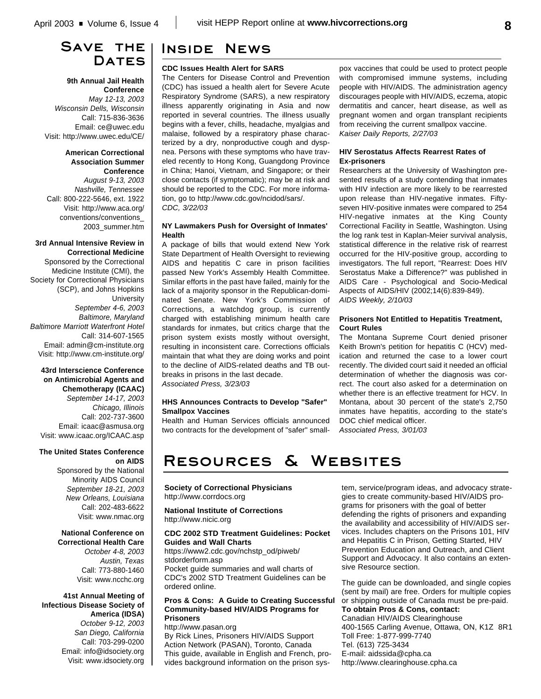## **Save the** DATES

**9th Annual Jail Health Conference** *May 12-13, 2003 Wisconsin Dells, Wisconsin* Call: 715-836-3636

Email: ce@uwec.edu Visit: http://www.uwec.edu/CE/

#### **American Correctional Association Summer Conference**

*August 9-13, 2003 Nashville, Tennessee* Call: 800-222-5646, ext. 1922 Visit: http://www.aca.org/ conventions/conventions\_ 2003\_summer.htm

#### **3rd Annual Intensive Review in Correctional Medicine**

Sponsored by the Correctional Medicine Institute (CMI), the Society for Correctional Physicians (SCP), and Johns Hopkins **University** *September 4-6, 2003 Baltimore, Maryland Baltimore Marriott Waterfront Hotel* Call: 314-607-1565 Email: admin@cm-institute.org Visit: http://www.cm-institute.org/

## **43rd Interscience Conference on Antimicrobial Agents and Chemotherapy (ICAAC)**

*September 14-17, 2003 Chicago, Illinois* Call: 202-737-3600 Email: icaac@asmusa.org Visit: www.icaac.org/ICAAC.asp

### **The United States Conference on AIDS**

Sponsored by the National Minority AIDS Council *September 18-21, 2003 New Orleans, Louisiana* Call: 202-483-6622 Visit: www.nmac.org

**National Conference on Correctional Health Care** *October 4-8, 2003 Austin, Texas* Call: 773-880-1460 Visit: www.ncchc.org

**41st Annual Meeting of Infectious Disease Society of America (IDSA)** *October 9-12, 2003 San Diego, California* Call: 703-299-0200 Email: info@idsociety.org Visit: www.idsociety.org

## **Inside News**

### **CDC Issues Health Alert for SARS**

The Centers for Disease Control and Prevention (CDC) has issued a health alert for Severe Acute Respiratory Syndrome (SARS), a new respiratory illness apparently originating in Asia and now reported in several countries. The illness usually begins with a fever, chills, headache, myalgias and malaise, followed by a respiratory phase characterized by a dry, nonproductive cough and dyspnea. Persons with these symptoms who have traveled recently to Hong Kong, Guangdong Province in China; Hanoi, Vietnam, and Singapore; or their close contacts (if symptomatic); may be at risk and should be reported to the CDC. For more information, go to http://www.cdc.gov/ncidod/sars/. *CDC, 3/22/03*

#### **NY Lawmakers Push for Oversight of Inmates' Health**

A package of bills that would extend New York State Department of Health Oversight to reviewing AIDS and hepatitis C care in prison facilities passed New York's Assembly Health Committee. Similar efforts in the past have failed, mainly for the lack of a majority sponsor in the Republican-dominated Senate. New York's Commission of Corrections, a watchdog group, is currently charged with establishing minimum health care standards for inmates, but critics charge that the prison system exists mostly without oversight, resulting in inconsistent care. Corrections officials maintain that what they are doing works and point to the decline of AIDS-related deaths and TB outbreaks in prisons in the last decade.

*Associated Press, 3/23/03*

#### **HHS Announces Contracts to Develop "Safer" Smallpox Vaccines**

Health and Human Services officials announced two contracts for the development of "safer" smallpox vaccines that could be used to protect people with compromised immune systems, including people with HIV/AIDS. The administration agency discourages people with HIV/AIDS, eczema, atopic dermatitis and cancer, heart disease, as well as pregnant women and organ transplant recipients from receiving the current smallpox vaccine. *Kaiser Daily Reports, 2/27/03*

### **HIV Serostatus Affects Rearrest Rates of Ex-prisoners**

Researchers at the University of Washington presented results of a study contending that inmates with HIV infection are more likely to be rearrested upon release than HIV-negative inmates. Fiftyseven HIV-positive inmates were compared to 254 HIV-negative inmates at the King County Correctional Facility in Seattle, Washington. Using the log rank test in Kaplan-Meier survival analysis, statistical difference in the relative risk of rearrest occurred for the HIV-positive group, according to investigators. The full report, "Rearrest: Does HIV Serostatus Make a Difference?" was published in AIDS Care - Psychological and Socio-Medical Aspects of AIDS/HIV (2002;14(6):839-849). *AIDS Weekly, 2/10/03*

### **Prisoners Not Entitled to Hepatitis Treatment, Court Rules**

The Montana Supreme Court denied prisoner Keith Brown's petition for hepatitis C (HCV) medication and returned the case to a lower court recently. The divided court said it needed an official determination of whether the diagnosis was correct. The court also asked for a determination on whether there is an effective treatment for HCV. In Montana, about 30 percent of the state's 2,750 inmates have hepatitis, according to the state's DOC chief medical officer. *Associated Press, 3/01/03*

# **Resources & Websites**

### **Society of Correctional Physicians** http://www.corrdocs.org

**National Institute of Corrections** http://www.nicic.org

#### **CDC 2002 STD Treatment Guidelines: Pocket Guides and Wall Charts**

https://www2.cdc.gov/nchstp\_od/piweb/ stdorderform.asp Pocket guide summaries and wall charts of CDC's 2002 STD Treatment Guidelines can be ordered online.

### **Pros & Cons: A Guide to Creating Successful Community-based HIV/AIDS Programs for Prisoners**

http://www.pasan.org By Rick Lines, Prisoners HIV/AIDS Support Action Network (PASAN), Toronto, Canada This guide, available in English and French, provides background information on the prison system, service/program ideas, and advocacy strategies to create community-based HIV/AIDS programs for prisoners with the goal of better defending the rights of prisoners and expanding the availability and accessibility of HIV/AIDS services. Includes chapters on the Prisons 101, HIV and Hepatitis C in Prison, Getting Started, HIV Prevention Education and Outreach, and Client Support and Advocacy. It also contains an extensive Resource section.

The guide can be downloaded, and single copies (sent by mail) are free. Orders for multiple copies or shipping outside of Canada must be pre-paid. **To obtain Pros & Cons, contact:** Canadian HIV/AIDS Clearinghouse 400-1565 Carling Avenue, Ottawa, ON, K1Z 8R1 Toll Free: 1-877-999-7740 Tel. (613) 725-3434 E-mail: aidssida@cpha.ca http://www.clearinghouse.cpha.ca